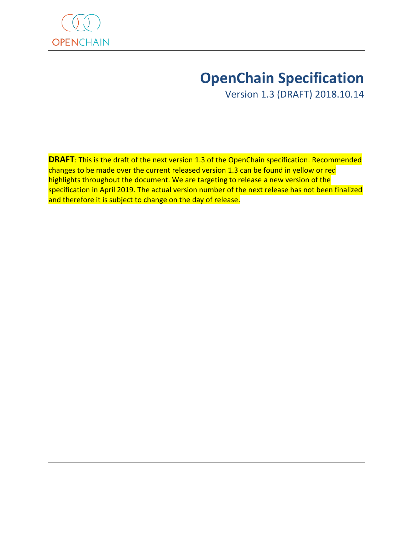

# **OpenChain Specification**

Version 1.3 (DRAFT) 2018.10.14

**DRAFT**: This is the draft of the next version 1.3 of the OpenChain specification. Recommended changes to be made over the current released version 1.3 can be found in yellow or red highlights throughout the document. We are targeting to release a new version of the specification in April 2019. The actual version number of the next release has not been finalized and therefore it is subject to change on the day of release.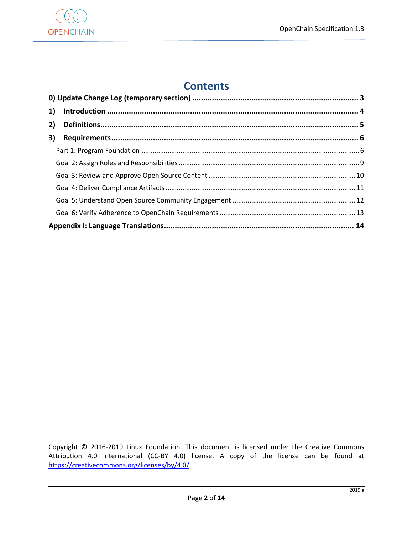

## **Contents**

| 2) |  |  |
|----|--|--|
| 3) |  |  |
|    |  |  |
|    |  |  |
|    |  |  |
|    |  |  |
|    |  |  |
|    |  |  |
|    |  |  |

Copyright © 2016-2019 Linux Foundation. This document is licensed under the Creative Commons Attribution 4.0 International (CC-BY 4.0) license. A copy of the license can be found at [https://creativecommons.org/licenses/by/4.0/.](https://creativecommons.org/licenses/by/4.0/)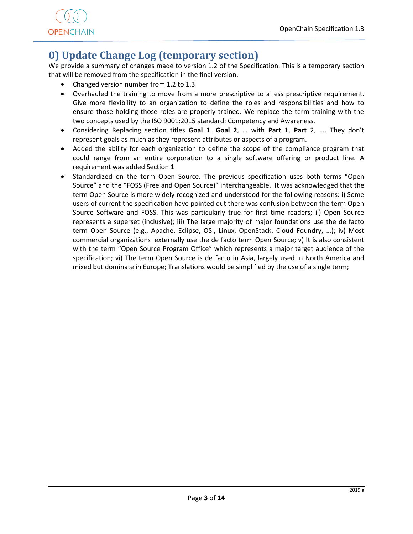

## <span id="page-2-0"></span>**0) Update Change Log (temporary section)**

We provide a summary of changes made to version 1.2 of the Specification. This is a temporary section that will be removed from the specification in the final version.

- Changed version number from 1.2 to 1.3
- Overhauled the training to move from a more prescriptive to a less prescriptive requirement. Give more flexibility to an organization to define the roles and responsibilities and how to ensure those holding those roles are properly trained. We replace the term training with the two concepts used by the ISO 9001:2015 standard: Competency and Awareness.
- Considering Replacing section titles **Goal 1**, **Goal 2**, … with **Part 1**, **Part** 2, …. They don't represent goals as much as they represent attributes or aspects of a program.
- Added the ability for each organization to define the scope of the compliance program that could range from an entire corporation to a single software offering or product line. A requirement was added Section 1
- Standardized on the term Open Source. The previous specification uses both terms "Open Source" and the "FOSS (Free and Open Source)" interchangeable. It was acknowledged that the term Open Source is more widely recognized and understood for the following reasons: i) Some users of current the specification have pointed out there was confusion between the term Open Source Software and FOSS. This was particularly true for first time readers; ii) Open Source represents a superset (inclusive); iii) The large majority of major foundations use the de facto term Open Source (e.g., Apache, Eclipse, OSI, Linux, OpenStack, Cloud Foundry, …); iv) Most commercial organizations externally use the de facto term Open Source; v) It is also consistent with the term "Open Source Program Office" which represents a major target audience of the specification; vi) The term Open Source is de facto in Asia, largely used in North America and mixed but dominate in Europe; Translations would be simplified by the use of a single term;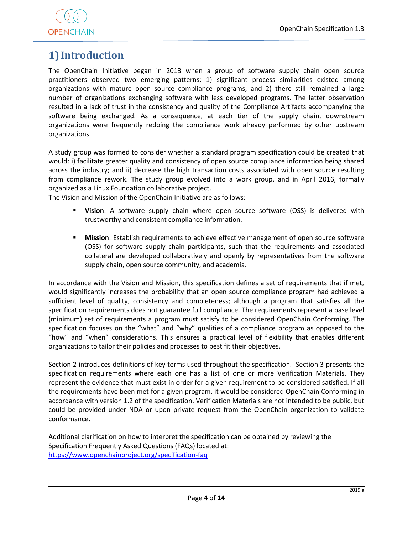

## <span id="page-3-0"></span>**1) Introduction**

The OpenChain Initiative began in 2013 when a group of software supply chain open source practitioners observed two emerging patterns: 1) significant process similarities existed among organizations with mature open source compliance programs; and 2) there still remained a large number of organizations exchanging software with less developed programs. The latter observation resulted in a lack of trust in the consistency and quality of the Compliance Artifacts accompanying the software being exchanged. As a consequence, at each tier of the supply chain, downstream organizations were frequently redoing the compliance work already performed by other upstream organizations.

A study group was formed to consider whether a standard program specification could be created that would: i) facilitate greater quality and consistency of open source compliance information being shared across the industry; and ii) decrease the high transaction costs associated with open source resulting from compliance rework. The study group evolved into a work group, and in April 2016, formally organized as a Linux Foundation collaborative project.

The Vision and Mission of the OpenChain Initiative are as follows:

- **Vision**: A software supply chain where open source software (OSS) is delivered with trustworthy and consistent compliance information.
- **Mission**: Establish requirements to achieve effective management of open source software (OSS) for software supply chain participants, such that the requirements and associated collateral are developed collaboratively and openly by representatives from the software supply chain, open source community, and academia.

In accordance with the Vision and Mission, this specification defines a set of requirements that if met, would significantly increases the probability that an open source compliance program had achieved a sufficient level of quality, consistency and completeness; although a program that satisfies all the specification requirements does not guarantee full compliance. The requirements represent a base level (minimum) set of requirements a program must satisfy to be considered OpenChain Conforming. The specification focuses on the "what" and "why" qualities of a compliance program as opposed to the "how" and "when" considerations. This ensures a practical level of flexibility that enables different organizations to tailor their policies and processes to best fit their objectives.

Section 2 introduces definitions of key terms used throughout the specification. Section 3 presents the specification requirements where each one has a list of one or more Verification Materials. They represent the evidence that must exist in order for a given requirement to be considered satisfied. If all the requirements have been met for a given program, it would be considered OpenChain Conforming in accordance with version 1.2 of the specification. Verification Materials are not intended to be public, but could be provided under NDA or upon private request from the OpenChain organization to validate conformance.

Additional clarification on how to interpret the specification can be obtained by reviewing the Specification Frequently Asked Questions (FAQs) located at: <https://www.openchainproject.org/specification-faq>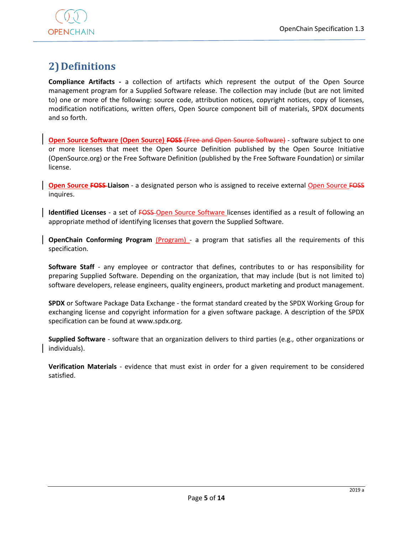

## <span id="page-4-0"></span>**2)Definitions**

**Compliance Artifacts -** a collection of artifacts which represent the output of the Open Source management program for a Supplied Software release. The collection may include (but are not limited to) one or more of the following: source code, attribution notices, copyright notices, copy of licenses, modification notifications, written offers, Open Source component bill of materials, SPDX documents and so forth.

**Open Source Software (Open Source) FOSS (Free and Open Source Software) - software subject to one** or more licenses that meet the Open Source Definition published by the Open Source Initiative (OpenSource.org) or the Free Software Definition (published by the Free Software Foundation) or similar license.

**Open Source FOSS-Liaison** - a designated person who is assigned to receive external Open Source FOSS inquires.

**Identified Licenses** - a set of FOSS-Open Source Software licenses identified as a result of following an appropriate method of identifying licenses that govern the Supplied Software.

**OpenChain Conforming Program (Program) - a program that satisfies all the requirements of this** specification.

**Software Staff** - any employee or contractor that defines, contributes to or has responsibility for preparing Supplied Software. Depending on the organization, that may include (but is not limited to) software developers, release engineers, quality engineers, product marketing and product management.

**SPDX** or Software Package Data Exchange - the format standard created by the SPDX Working Group for exchanging license and copyright information for a given software package. A description of the SPDX specification can be found at www.spdx.org.

**Supplied Software** - software that an organization delivers to third parties (e.g., other organizations or individuals).

**Verification Materials** - evidence that must exist in order for a given requirement to be considered satisfied.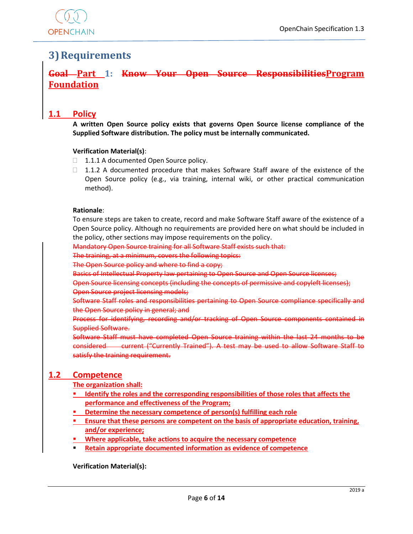

## <span id="page-5-0"></span>**3)Requirements**

## <span id="page-5-1"></span>**Goal Part 1: Know Your Open Source ResponsibilitiesProgram Foundation**

### **1.1 Policy**

**A written Open Source policy exists that governs Open Source license compliance of the Supplied Software distribution. The policy must be internally communicated.**

#### **Verification Material(s)**:

- □ 1.1.1 A documented Open Source policy.
- $\Box$  1.1.2 A documented procedure that makes Software Staff aware of the existence of the Open Source policy (e.g., via training, internal wiki, or other practical communication method).

#### **Rationale**:

To ensure steps are taken to create, record and make Software Staff aware of the existence of a Open Source policy. Although no requirements are provided here on what should be included in the policy, other sections may impose requirements on the policy.

Mandatory Open Source training for all Software Staff exists such that:

The training, at a minimum, covers the following topics:

The Open Source policy and where to find a copy;

Basics of Intellectual Property law pertaining to Open Source and Open Source licenses;

Open Source licensing concepts (including the concepts of permissive and copyleft licenses); Open Source project licensing models;

Software Staff roles and responsibilities pertaining to Open Source compliance specifically and the Open Source policy in general; and

Process for identifying, recording and/or tracking of Open Source components contained in Supplied Software.

Software Staff must have completed Open Source training within the last 24 months to be considered current ("Currently Trained"). A test may be used to allow Software Staff to satisfy the training requirement.

#### **1.2 Competence**

#### **The organization shall:**

- **IDENTIFY 19 IDENTIFY the roles and the corresponding responsibilities of those roles that affects the performance and effectiveness of the Program;**
- **Determine the necessary competence of person(s) fulfilling each role**
- **Ensure that these persons are competent on the basis of appropriate education, training, and/or experience;**
- **Where applicable, take actions to acquire the necessary competence**
- **Retain appropriate documented information as evidence of competence**

#### **Verification Material(s):**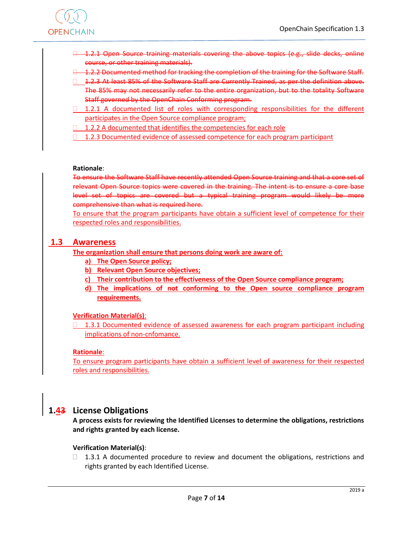

- **□ 1.2.1 Open Source training materials covering the above topics (e.g., slide decks, online** course, or other training materials).
- 1.2.2 Documented method for tracking the completion of the training for the Software Staff.
- 1.2.3 At least 85% of the Software Staff are Currently Trained, as per the definition above. The 85% may not necessarily refer to the entire organization, but to the totality Software Staff governed by the OpenChain Conforming program.
- $\Box$  1.2.1 A documented list of roles with corresponding responsibilities for the different participates in the Open Source compliance program;
- $\Box$  1.2.2 A documented that identifies the competencies for each role
- $\Box$  1.2.3 Documented evidence of assessed competence for each program participant

#### **Rationale**:

To ensure the Software Staff have recently attended Open Source training and that a core set of relevant Open Source topics were covered in the training. The intent is to ensure a core base level set of topics are covered but a typical training program would likely be more comprehensive than what is required here.

To ensure that the program participants have obtain a sufficient level of competence for their respected roles and responsibilities.

#### **1.3 Awareness**

**The organization shall ensure that persons doing work are aware of:**

- **a) The Open Source policy;**
- **b) Relevant Open Source objectives;**
- **c) Their contribution to the effectiveness of the Open Source compliance program;**
- **d) The implications of not conforming to the Open source compliance program requirements.**

#### **Verification Material(s)**:

 $\Box$  1.3.1 Documented evidence of assessed awareness for each program participant including implications of non-cnfomance.

#### **Rationale**:

To ensure program participants have obtain a sufficient level of awareness for their respected roles and responsibilities.

#### **1.43 License Obligations**

**A process exists for reviewing the Identified Licenses to determine the obligations, restrictions and rights granted by each license.**

#### **Verification Material(s)**:

 $\Box$  1.3.1 A documented procedure to review and document the obligations, restrictions and rights granted by each Identified License.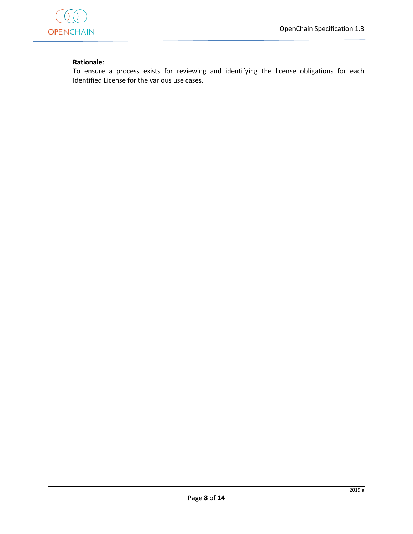

#### **Rationale**:

To ensure a process exists for reviewing and identifying the license obligations for each Identified License for the various use cases.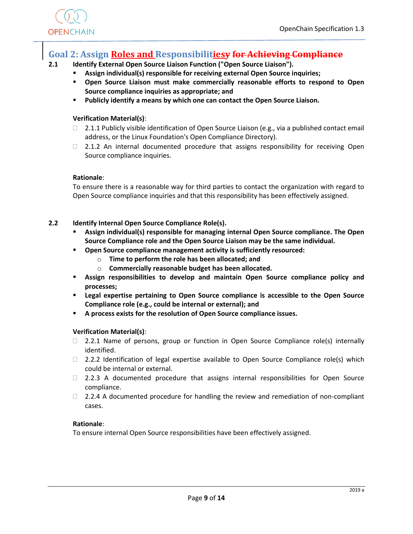

### <span id="page-8-0"></span>**Goal 2: Assign Roles and Responsibilitiesy for Achieving Compliance**

#### **2.1 Identify External Open Source Liaison Function ("Open Source Liaison").**

- **Assign individual(s) responsible for receiving external Open Source inquiries;**
- **Open Source Liaison must make commercially reasonable efforts to respond to Open Source compliance inquiries as appropriate; and**
- **Publicly identify a means by which one can contact the Open Source Liaison.**

#### **Verification Material(s)**:

- $\Box$  2.1.1 Publicly visible identification of Open Source Liaison (e.g., via a published contact email address, or the Linux Foundation's Open Compliance Directory).
- $\Box$  2.1.2 An internal documented procedure that assigns responsibility for receiving Open Source compliance inquiries.

#### **Rationale**:

To ensure there is a reasonable way for third parties to contact the organization with regard to Open Source compliance inquiries and that this responsibility has been effectively assigned.

#### **2.2 Identify Internal Open Source Compliance Role(s).**

- **Assign individual(s) responsible for managing internal Open Source compliance. The Open Source Compliance role and the Open Source Liaison may be the same individual.**
- **Open Source compliance management activity is sufficiently resourced:**
	- o **Time to perform the role has been allocated; and**
	- o **Commercially reasonable budget has been allocated.**
- **Assign responsibilities to develop and maintain Open Source compliance policy and processes;**
- **Legal expertise pertaining to Open Source compliance is accessible to the Open Source Compliance role (e.g., could be internal or external); and**
- **A process exists for the resolution of Open Source compliance issues.**

#### **Verification Material(s)**:

- $\Box$  2.2.1 Name of persons, group or function in Open Source Compliance role(s) internally identified.
- $\Box$  2.2.2 Identification of legal expertise available to Open Source Compliance role(s) which could be internal or external.
- $\Box$  2.2.3 A documented procedure that assigns internal responsibilities for Open Source compliance.
- $\Box$  2.2.4 A documented procedure for handling the review and remediation of non-compliant cases.

#### **Rationale**:

To ensure internal Open Source responsibilities have been effectively assigned.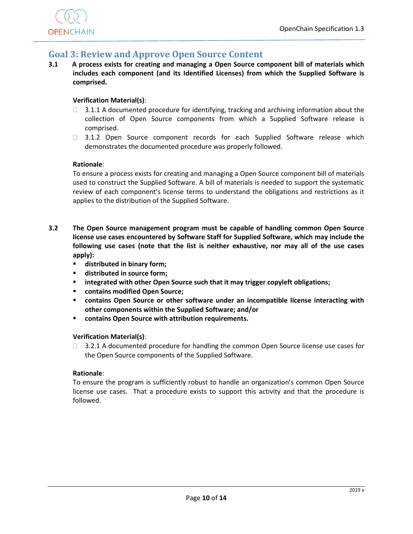

## <span id="page-9-0"></span>**Goal 3: Review and Approve Open Source Content**

**3.1 A process exists for creating and managing a Open Source component bill of materials which includes each component (and its Identified Licenses) from which the Supplied Software is comprised.** 

#### **Verification Material(s)**:

- $\Box$  3.1.1 A documented procedure for identifying, tracking and archiving information about the collection of Open Source components from which a Supplied Software release is comprised.
- □ 3.1.2 Open Source component records for each Supplied Software release which demonstrates the documented procedure was properly followed.

#### **Rationale**:

To ensure a process exists for creating and managing a Open Source component bill of materials used to construct the Supplied Software. A bill of materials is needed to support the systematic review of each component's license terms to understand the obligations and restrictions as it applies to the distribution of the Supplied Software.

- **3.2 The Open Source management program must be capable of handling common Open Source license use cases encountered by Software Staff for Supplied Software, which may include the following use cases (note that the list is neither exhaustive, nor may all of the use cases apply):**
	- **distributed in binary form;**
	- **distributed in source form;**
	- **integrated with other Open Source such that it may trigger copyleft obligations;**
	- **contains modified Open Source;**
	- **contains Open Source or other software under an incompatible license interacting with other components within the Supplied Software; and/or**
	- **contains Open Source with attribution requirements.**

#### **Verification Material(s)**:

 $\Box$  3.2.1 A documented procedure for handling the common Open Source license use cases for the Open Source components of the Supplied Software.

#### **Rationale**:

To ensure the program is sufficiently robust to handle an organization's common Open Source license use cases. That a procedure exists to support this activity and that the procedure is followed.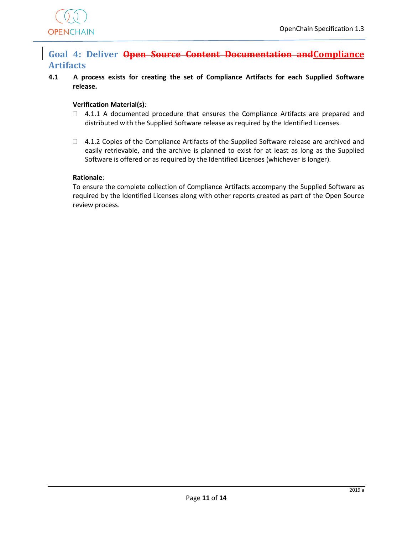

## <span id="page-10-0"></span>**Goal 4: Deliver Open Source Content Documentation andCompliance Artifacts**

**4.1 A process exists for creating the set of Compliance Artifacts for each Supplied Software release.** 

#### **Verification Material(s)**:

- $\Box$  4.1.1 A documented procedure that ensures the Compliance Artifacts are prepared and distributed with the Supplied Software release as required by the Identified Licenses.
- $\Box$  4.1.2 Copies of the Compliance Artifacts of the Supplied Software release are archived and easily retrievable, and the archive is planned to exist for at least as long as the Supplied Software is offered or as required by the Identified Licenses (whichever is longer).

#### **Rationale**:

To ensure the complete collection of Compliance Artifacts accompany the Supplied Software as required by the Identified Licenses along with other reports created as part of the Open Source review process.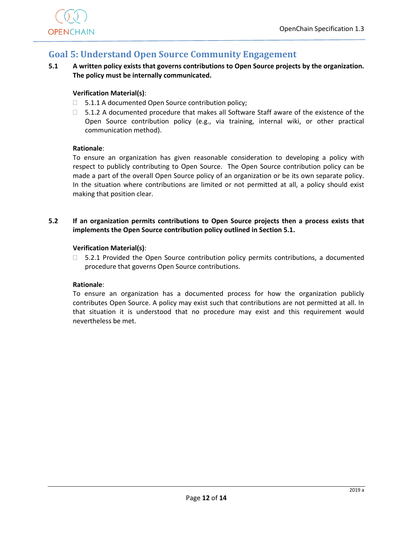

## <span id="page-11-0"></span>**Goal 5: Understand Open Source Community Engagement**

**5.1 A written policy exists that governs contributions to Open Source projects by the organization. The policy must be internally communicated.**

#### **Verification Material(s)**:

- $\Box$  5.1.1 A documented Open Source contribution policy;
- $\square$  5.1.2 A documented procedure that makes all Software Staff aware of the existence of the Open Source contribution policy (e.g., via training, internal wiki, or other practical communication method).

#### **Rationale**:

To ensure an organization has given reasonable consideration to developing a policy with respect to publicly contributing to Open Source. The Open Source contribution policy can be made a part of the overall Open Source policy of an organization or be its own separate policy. In the situation where contributions are limited or not permitted at all, a policy should exist making that position clear.

**5.2 If an organization permits contributions to Open Source projects then a process exists that implements the Open Source contribution policy outlined in Section 5.1.**

#### **Verification Material(s)**:

 $\Box$  5.2.1 Provided the Open Source contribution policy permits contributions, a documented procedure that governs Open Source contributions.

#### **Rationale**:

To ensure an organization has a documented process for how the organization publicly contributes Open Source. A policy may exist such that contributions are not permitted at all. In that situation it is understood that no procedure may exist and this requirement would nevertheless be met.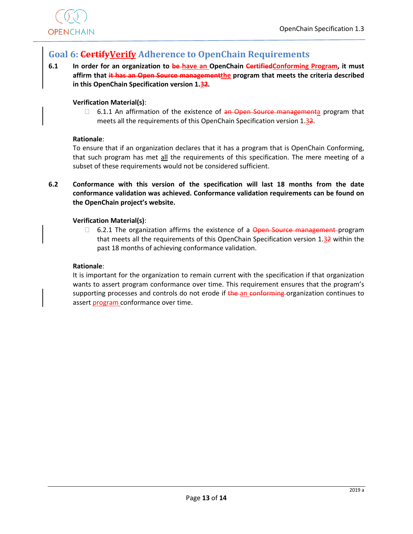

## <span id="page-12-0"></span>**Goal 6: CertifyVerify Adherence to OpenChain Requirements**

**6.1 In order for an organization to be have an OpenChain CertifiedConforming Program, it must affirm that it has an Open Source managementthe program that meets the criteria described in this OpenChain Specification version 1.32.**

#### **Verification Material(s)**:

 $\Box$  6.1.1 An affirmation of the existence of an Open Source managementa program that meets all the requirements of this OpenChain Specification version 1.32.

#### **Rationale**:

To ensure that if an organization declares that it has a program that is OpenChain Conforming, that such program has met all the requirements of this specification. The mere meeting of a subset of these requirements would not be considered sufficient.

**6.2 Conformance with this version of the specification will last 18 months from the date conformance validation was achieved. Conformance validation requirements can be found on the OpenChain project's website.** 

#### **Verification Material(s)**:

 $\Box$  6.2.1 The organization affirms the existence of a Open Source management program that meets all the requirements of this OpenChain Specification version  $1.32$  within the past 18 months of achieving conformance validation.

#### **Rationale**:

It is important for the organization to remain current with the specification if that organization wants to assert program conformance over time. This requirement ensures that the program's supporting processes and controls do not erode if the an conforming organization continues to assert program conformance over time.